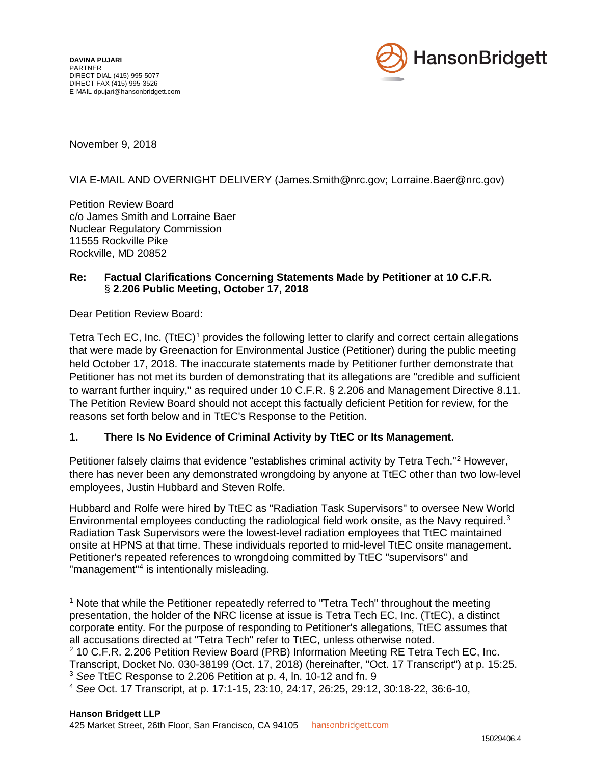

November 9, 2018

### VIA E-MAIL AND OVERNIGHT DELIVERY (James.Smith@nrc.gov; Lorraine.Baer@nrc.gov)

Petition Review Board c/o James Smith and Lorraine Baer Nuclear Regulatory Commission 11555 Rockville Pike Rockville, MD 20852

#### **Re: Factual Clarifications Concerning Statements Made by Petitioner at 10 C.F.R.** § **2.206 Public Meeting, October 17, 2018**

Dear Petition Review Board:

Tetra Tech EC, Inc. (TtEC)<sup>1</sup> provides the following letter to clarify and correct certain allegations that were made by Greenaction for Environmental Justice (Petitioner) during the public meeting held October 17, 2018. The inaccurate statements made by Petitioner further demonstrate that Petitioner has not met its burden of demonstrating that its allegations are "credible and sufficient to warrant further inquiry," as required under 10 C.F.R. § 2.206 and Management Directive 8.11. The Petition Review Board should not accept this factually deficient Petition for review, for the reasons set forth below and in TtEC's Response to the Petition.

### **1. There Is No Evidence of Criminal Activity by TtEC or Its Management.**

Petitioner falsely claims that evidence "establishes criminal activity by Tetra Tech."<sup>2</sup> However, there has never been any demonstrated wrongdoing by anyone at TtEC other than two low-level employees, Justin Hubbard and Steven Rolfe.

Hubbard and Rolfe were hired by TtEC as "Radiation Task Supervisors" to oversee New World Environmental employees conducting the radiological field work onsite, as the Navy required.<sup>3</sup> Radiation Task Supervisors were the lowest-level radiation employees that TtEC maintained onsite at HPNS at that time. These individuals reported to mid-level TtEC onsite management. Petitioner's repeated references to wrongdoing committed by TtEC "supervisors" and "management"4 is intentionally misleading.

<sup>&</sup>lt;sup>1</sup> Note that while the Petitioner repeatedly referred to "Tetra Tech" throughout the meeting presentation, the holder of the NRC license at issue is Tetra Tech EC, Inc. (TtEC), a distinct corporate entity. For the purpose of responding to Petitioner's allegations, TtEC assumes that all accusations directed at "Tetra Tech" refer to TtEC, unless otherwise noted.

<sup>&</sup>lt;sup>2</sup> 10 C.F.R. 2.206 Petition Review Board (PRB) Information Meeting RE Tetra Tech EC, Inc. Transcript, Docket No. 030-38199 (Oct. 17, 2018) (hereinafter, "Oct. 17 Transcript") at p. 15:25.

<sup>3</sup> *See* TtEC Response to 2.206 Petition at p. 4, ln. 10-12 and fn. 9

<sup>4</sup> *See* Oct. 17 Transcript, at p. 17:1-15, 23:10, 24:17, 26:25, 29:12, 30:18-22, 36:6-10,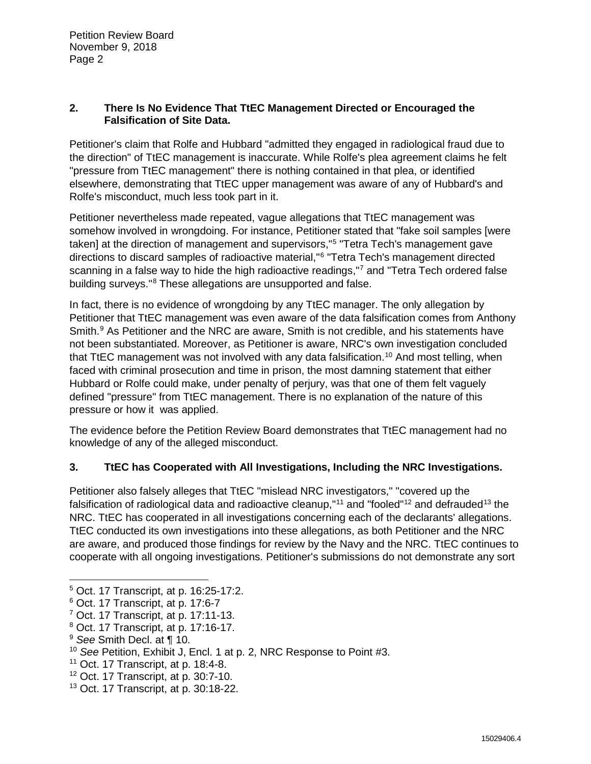### **2. There Is No Evidence That TtEC Management Directed or Encouraged the Falsification of Site Data.**

Petitioner's claim that Rolfe and Hubbard "admitted they engaged in radiological fraud due to the direction" of TtEC management is inaccurate. While Rolfe's plea agreement claims he felt "pressure from TtEC management" there is nothing contained in that plea, or identified elsewhere, demonstrating that TtEC upper management was aware of any of Hubbard's and Rolfe's misconduct, much less took part in it.

Petitioner nevertheless made repeated, vague allegations that TtEC management was somehow involved in wrongdoing. For instance, Petitioner stated that "fake soil samples [were taken] at the direction of management and supervisors,"<sup>5</sup> "Tetra Tech's management gave directions to discard samples of radioactive material,"6 "Tetra Tech's management directed scanning in a false way to hide the high radioactive readings,"7 and "Tetra Tech ordered false building surveys."8 These allegations are unsupported and false.

In fact, there is no evidence of wrongdoing by any TtEC manager. The only allegation by Petitioner that TtEC management was even aware of the data falsification comes from Anthony Smith.<sup>9</sup> As Petitioner and the NRC are aware, Smith is not credible, and his statements have not been substantiated. Moreover, as Petitioner is aware, NRC's own investigation concluded that TtEC management was not involved with any data falsification.<sup>10</sup> And most telling, when faced with criminal prosecution and time in prison, the most damning statement that either Hubbard or Rolfe could make, under penalty of perjury, was that one of them felt vaguely defined "pressure" from TtEC management. There is no explanation of the nature of this pressure or how it was applied.

The evidence before the Petition Review Board demonstrates that TtEC management had no knowledge of any of the alleged misconduct.

# **3. TtEC has Cooperated with All Investigations, Including the NRC Investigations.**

Petitioner also falsely alleges that TtEC "mislead NRC investigators," "covered up the falsification of radiological data and radioactive cleanup,"<sup>11</sup> and "fooled"<sup>12</sup> and defrauded<sup>13</sup> the NRC. TtEC has cooperated in all investigations concerning each of the declarants' allegations. TtEC conducted its own investigations into these allegations, as both Petitioner and the NRC are aware, and produced those findings for review by the Navy and the NRC. TtEC continues to cooperate with all ongoing investigations. Petitioner's submissions do not demonstrate any sort

- <sup>8</sup> Oct. 17 Transcript, at p. 17:16-17.
- <sup>9</sup> *See* Smith Decl. at ¶ 10.

 <sup>5</sup> Oct. 17 Transcript, at p. 16:25-17:2.

<sup>6</sup> Oct. 17 Transcript, at p. 17:6-7

 $7$  Oct. 17 Transcript, at p. 17:11-13.

<sup>10</sup> *See* Petition, Exhibit J, Encl. 1 at p. 2, NRC Response to Point #3.

<sup>11</sup> Oct. 17 Transcript, at p. 18:4-8.

 $12$  Oct. 17 Transcript, at p. 30:7-10.

<sup>13</sup> Oct. 17 Transcript, at p. 30:18-22.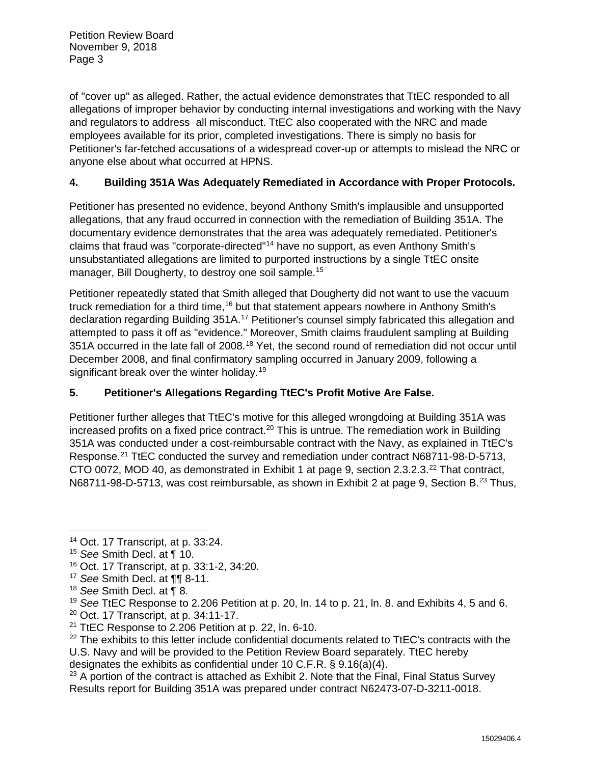of "cover up" as alleged. Rather, the actual evidence demonstrates that TtEC responded to all allegations of improper behavior by conducting internal investigations and working with the Navy and regulators to address all misconduct. TtEC also cooperated with the NRC and made employees available for its prior, completed investigations. There is simply no basis for Petitioner's far-fetched accusations of a widespread cover-up or attempts to mislead the NRC or anyone else about what occurred at HPNS.

## **4. Building 351A Was Adequately Remediated in Accordance with Proper Protocols.**

Petitioner has presented no evidence, beyond Anthony Smith's implausible and unsupported allegations, that any fraud occurred in connection with the remediation of Building 351A. The documentary evidence demonstrates that the area was adequately remediated. Petitioner's claims that fraud was "corporate-directed"14 have no support, as even Anthony Smith's unsubstantiated allegations are limited to purported instructions by a single TtEC onsite manager, Bill Dougherty, to destroy one soil sample. 15

Petitioner repeatedly stated that Smith alleged that Dougherty did not want to use the vacuum truck remediation for a third time,<sup>16</sup> but that statement appears nowhere in Anthony Smith's declaration regarding Building 351A.<sup>17</sup> Petitioner's counsel simply fabricated this allegation and attempted to pass it off as "evidence." Moreover, Smith claims fraudulent sampling at Building 351A occurred in the late fall of 2008.<sup>18</sup> Yet, the second round of remediation did not occur until December 2008, and final confirmatory sampling occurred in January 2009, following a significant break over the winter holiday.<sup>19</sup>

# **5. Petitioner's Allegations Regarding TtEC's Profit Motive Are False.**

Petitioner further alleges that TtEC's motive for this alleged wrongdoing at Building 351A was increased profits on a fixed price contract.<sup>20</sup> This is untrue. The remediation work in Building 351A was conducted under a cost-reimbursable contract with the Navy, as explained in TtEC's Response. <sup>21</sup> TtEC conducted the survey and remediation under contract N68711-98-D-5713, CTO 0072, MOD 40, as demonstrated in Exhibit 1 at page 9, section 2.3.2.3.<sup>22</sup> That contract, N68711-98-D-5713, was cost reimbursable, as shown in Exhibit 2 at page 9, Section B.<sup>23</sup> Thus,

<sup>20</sup> Oct. 17 Transcript, at p. 34:11-17.

<sup>&</sup>lt;sup>14</sup> Oct. 17 Transcript, at p. 33:24.

<sup>15</sup> *See* Smith Decl. at ¶ 10.

<sup>16</sup> Oct. 17 Transcript, at p. 33:1-2, 34:20.

<sup>17</sup> *See* Smith Decl. at ¶¶ 8-11.

<sup>18</sup> *See* Smith Decl. at ¶ 8.

<sup>19</sup> *See* TtEC Response to 2.206 Petition at p. 20, ln. 14 to p. 21, ln. 8. and Exhibits 4, 5 and 6.

<sup>21</sup> TtEC Response to 2.206 Petition at p. 22, ln. 6-10.

 $22$  The exhibits to this letter include confidential documents related to TtEC's contracts with the U.S. Navy and will be provided to the Petition Review Board separately. TtEC hereby designates the exhibits as confidential under 10 C.F.R. § 9.16(a)(4).

 $23$  A portion of the contract is attached as Exhibit 2. Note that the Final, Final Status Survey Results report for Building 351A was prepared under contract N62473-07-D-3211-0018.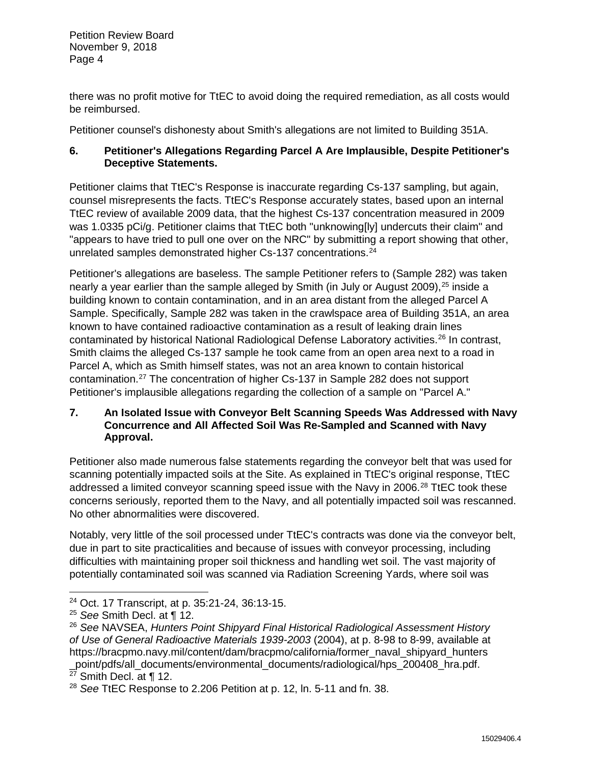there was no profit motive for TtEC to avoid doing the required remediation, as all costs would be reimbursed.

Petitioner counsel's dishonesty about Smith's allegations are not limited to Building 351A.

## **6. Petitioner's Allegations Regarding Parcel A Are Implausible, Despite Petitioner's Deceptive Statements.**

Petitioner claims that TtEC's Response is inaccurate regarding Cs-137 sampling, but again, counsel misrepresents the facts. TtEC's Response accurately states, based upon an internal TtEC review of available 2009 data, that the highest Cs-137 concentration measured in 2009 was 1.0335 pCi/g. Petitioner claims that TtEC both "unknowing[ly] undercuts their claim" and "appears to have tried to pull one over on the NRC" by submitting a report showing that other, unrelated samples demonstrated higher Cs-137 concentrations.<sup>24</sup>

Petitioner's allegations are baseless. The sample Petitioner refers to (Sample 282) was taken nearly a year earlier than the sample alleged by Smith (in July or August 2009),<sup>25</sup> inside a building known to contain contamination, and in an area distant from the alleged Parcel A Sample. Specifically, Sample 282 was taken in the crawlspace area of Building 351A, an area known to have contained radioactive contamination as a result of leaking drain lines contaminated by historical National Radiological Defense Laboratory activities.<sup>26</sup> In contrast, Smith claims the alleged Cs-137 sample he took came from an open area next to a road in Parcel A, which as Smith himself states, was not an area known to contain historical contamination.27 The concentration of higher Cs-137 in Sample 282 does not support Petitioner's implausible allegations regarding the collection of a sample on "Parcel A."

### **7. An Isolated Issue with Conveyor Belt Scanning Speeds Was Addressed with Navy Concurrence and All Affected Soil Was Re-Sampled and Scanned with Navy Approval.**

Petitioner also made numerous false statements regarding the conveyor belt that was used for scanning potentially impacted soils at the Site. As explained in TtEC's original response, TtEC addressed a limited conveyor scanning speed issue with the Navy in 2006.<sup>28</sup> TtEC took these concerns seriously, reported them to the Navy, and all potentially impacted soil was rescanned. No other abnormalities were discovered.

Notably, very little of the soil processed under TtEC's contracts was done via the conveyor belt, due in part to site practicalities and because of issues with conveyor processing, including difficulties with maintaining proper soil thickness and handling wet soil. The vast majority of potentially contaminated soil was scanned via Radiation Screening Yards, where soil was

 <sup>24</sup> Oct. 17 Transcript, at p. 35:21-24, 36:13-15.

<sup>25</sup> *See* Smith Decl. at ¶ 12.

<sup>26</sup> *See* NAVSEA, *Hunters Point Shipyard Final Historical Radiological Assessment History of Use of General Radioactive Materials 1939-2003* (2004), at p. 8-98 to 8-99, available at https://bracpmo.navy.mil/content/dam/bracpmo/california/former\_naval\_shipyard\_hunters \_point/pdfs/all\_documents/environmental\_documents/radiological/hps\_200408\_hra.pdf.

 $27$  Smith Decl. at  $\P$  12.

<sup>28</sup> *See* TtEC Response to 2.206 Petition at p. 12, ln. 5-11 and fn. 38.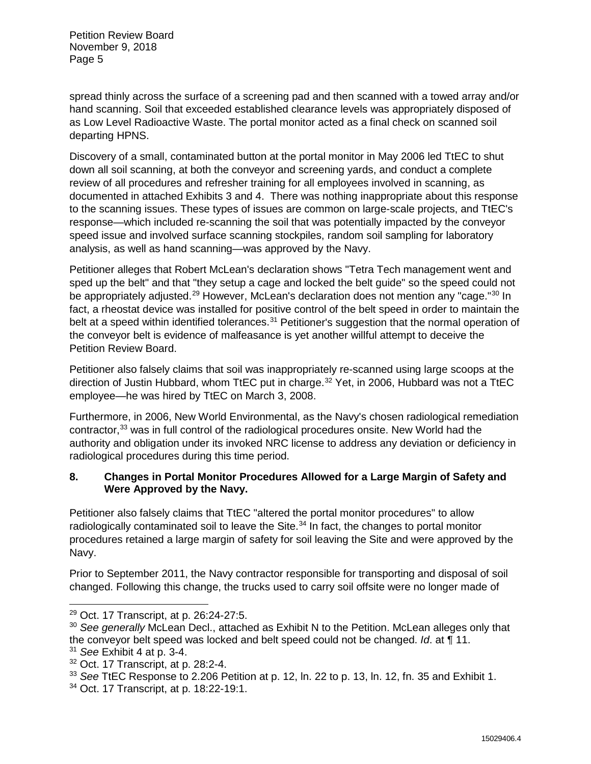spread thinly across the surface of a screening pad and then scanned with a towed array and/or hand scanning. Soil that exceeded established clearance levels was appropriately disposed of as Low Level Radioactive Waste. The portal monitor acted as a final check on scanned soil departing HPNS.

Discovery of a small, contaminated button at the portal monitor in May 2006 led TtEC to shut down all soil scanning, at both the conveyor and screening yards, and conduct a complete review of all procedures and refresher training for all employees involved in scanning, as documented in attached Exhibits 3 and 4. There was nothing inappropriate about this response to the scanning issues. These types of issues are common on large-scale projects, and TtEC's response—which included re-scanning the soil that was potentially impacted by the conveyor speed issue and involved surface scanning stockpiles, random soil sampling for laboratory analysis, as well as hand scanning—was approved by the Navy.

Petitioner alleges that Robert McLean's declaration shows "Tetra Tech management went and sped up the belt" and that "they setup a cage and locked the belt guide" so the speed could not be appropriately adjusted.<sup>29</sup> However, McLean's declaration does not mention any "cage."<sup>30</sup> In fact, a rheostat device was installed for positive control of the belt speed in order to maintain the belt at a speed within identified tolerances.<sup>31</sup> Petitioner's suggestion that the normal operation of the conveyor belt is evidence of malfeasance is yet another willful attempt to deceive the Petition Review Board.

Petitioner also falsely claims that soil was inappropriately re-scanned using large scoops at the direction of Justin Hubbard, whom TtEC put in charge.<sup>32</sup> Yet, in 2006, Hubbard was not a TtEC employee—he was hired by TtEC on March 3, 2008.

Furthermore, in 2006, New World Environmental, as the Navy's chosen radiological remediation contractor,<sup>33</sup> was in full control of the radiological procedures onsite. New World had the authority and obligation under its invoked NRC license to address any deviation or deficiency in radiological procedures during this time period.

## **8. Changes in Portal Monitor Procedures Allowed for a Large Margin of Safety and Were Approved by the Navy.**

Petitioner also falsely claims that TtEC "altered the portal monitor procedures" to allow radiologically contaminated soil to leave the Site. $34$  In fact, the changes to portal monitor procedures retained a large margin of safety for soil leaving the Site and were approved by the Navy.

Prior to September 2011, the Navy contractor responsible for transporting and disposal of soil changed. Following this change, the trucks used to carry soil offsite were no longer made of

 <sup>29</sup> Oct. 17 Transcript, at p. 26:24-27:5.

<sup>&</sup>lt;sup>30</sup> See generally McLean Decl., attached as Exhibit N to the Petition. McLean alleges only that the conveyor belt speed was locked and belt speed could not be changed. *Id*. at ¶ 11.

<sup>31</sup> *See* Exhibit 4 at p. 3-4.

<sup>32</sup> Oct. 17 Transcript, at p. 28:2-4.

<sup>33</sup> *See* TtEC Response to 2.206 Petition at p. 12, ln. 22 to p. 13, ln. 12, fn. 35 and Exhibit 1.

<sup>34</sup> Oct. 17 Transcript, at p. 18:22-19:1.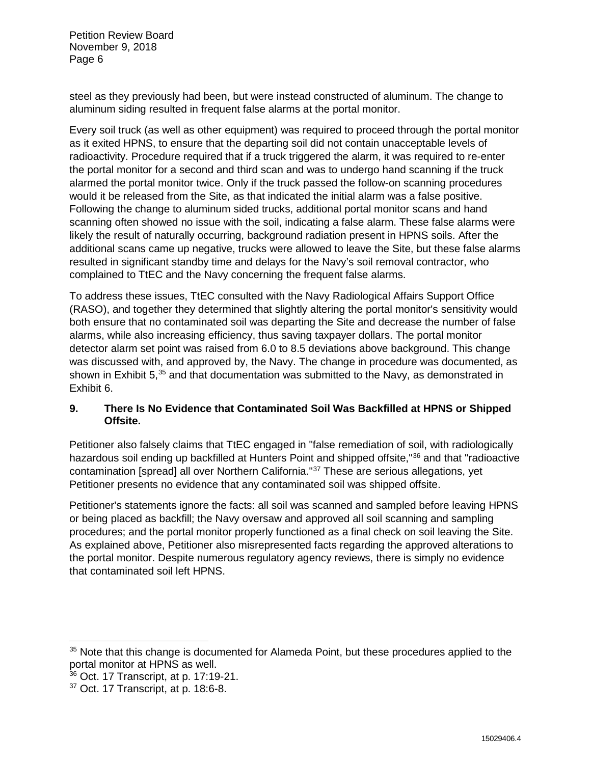steel as they previously had been, but were instead constructed of aluminum. The change to aluminum siding resulted in frequent false alarms at the portal monitor.

Every soil truck (as well as other equipment) was required to proceed through the portal monitor as it exited HPNS, to ensure that the departing soil did not contain unacceptable levels of radioactivity. Procedure required that if a truck triggered the alarm, it was required to re-enter the portal monitor for a second and third scan and was to undergo hand scanning if the truck alarmed the portal monitor twice. Only if the truck passed the follow-on scanning procedures would it be released from the Site, as that indicated the initial alarm was a false positive. Following the change to aluminum sided trucks, additional portal monitor scans and hand scanning often showed no issue with the soil, indicating a false alarm. These false alarms were likely the result of naturally occurring, background radiation present in HPNS soils. After the additional scans came up negative, trucks were allowed to leave the Site, but these false alarms resulted in significant standby time and delays for the Navy's soil removal contractor, who complained to TtEC and the Navy concerning the frequent false alarms.

To address these issues, TtEC consulted with the Navy Radiological Affairs Support Office (RASO), and together they determined that slightly altering the portal monitor's sensitivity would both ensure that no contaminated soil was departing the Site and decrease the number of false alarms, while also increasing efficiency, thus saving taxpayer dollars. The portal monitor detector alarm set point was raised from 6.0 to 8.5 deviations above background. This change was discussed with, and approved by, the Navy. The change in procedure was documented, as shown in Exhibit 5,<sup>35</sup> and that documentation was submitted to the Navy, as demonstrated in Exhibit 6.

## **9. There Is No Evidence that Contaminated Soil Was Backfilled at HPNS or Shipped Offsite.**

Petitioner also falsely claims that TtEC engaged in "false remediation of soil, with radiologically hazardous soil ending up backfilled at Hunters Point and shipped offsite."<sup>36</sup> and that "radioactive contamination [spread] all over Northern California."37 These are serious allegations, yet Petitioner presents no evidence that any contaminated soil was shipped offsite.

Petitioner's statements ignore the facts: all soil was scanned and sampled before leaving HPNS or being placed as backfill; the Navy oversaw and approved all soil scanning and sampling procedures; and the portal monitor properly functioned as a final check on soil leaving the Site. As explained above, Petitioner also misrepresented facts regarding the approved alterations to the portal monitor. Despite numerous regulatory agency reviews, there is simply no evidence that contaminated soil left HPNS.

<sup>&</sup>lt;sup>35</sup> Note that this change is documented for Alameda Point, but these procedures applied to the portal monitor at HPNS as well.

<sup>36</sup> Oct. 17 Transcript, at p. 17:19-21.

 $37$  Oct. 17 Transcript, at p. 18:6-8.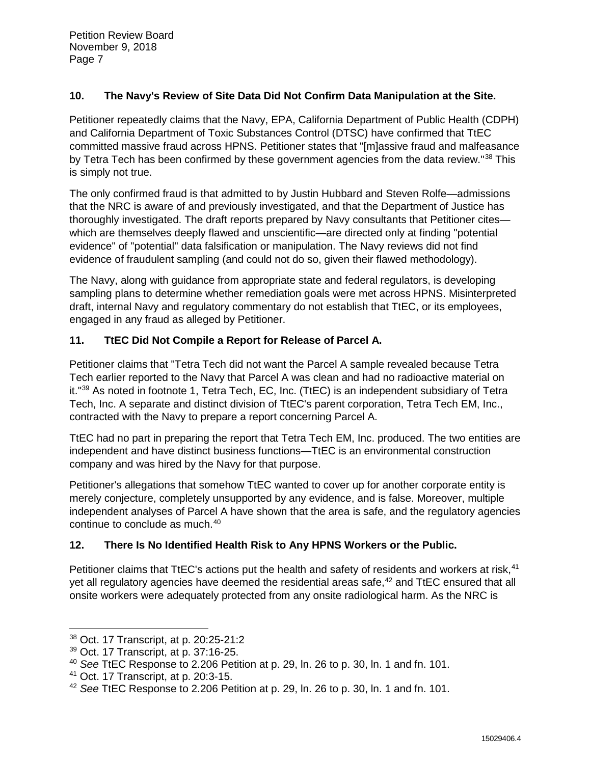### **10. The Navy's Review of Site Data Did Not Confirm Data Manipulation at the Site.**

Petitioner repeatedly claims that the Navy, EPA, California Department of Public Health (CDPH) and California Department of Toxic Substances Control (DTSC) have confirmed that TtEC committed massive fraud across HPNS. Petitioner states that "[m]assive fraud and malfeasance by Tetra Tech has been confirmed by these government agencies from the data review."<sup>38</sup> This is simply not true.

The only confirmed fraud is that admitted to by Justin Hubbard and Steven Rolfe—admissions that the NRC is aware of and previously investigated, and that the Department of Justice has thoroughly investigated. The draft reports prepared by Navy consultants that Petitioner cites which are themselves deeply flawed and unscientific—are directed only at finding "potential evidence" of "potential" data falsification or manipulation. The Navy reviews did not find evidence of fraudulent sampling (and could not do so, given their flawed methodology).

The Navy, along with guidance from appropriate state and federal regulators, is developing sampling plans to determine whether remediation goals were met across HPNS. Misinterpreted draft, internal Navy and regulatory commentary do not establish that TtEC, or its employees, engaged in any fraud as alleged by Petitioner.

## **11. TtEC Did Not Compile a Report for Release of Parcel A.**

Petitioner claims that "Tetra Tech did not want the Parcel A sample revealed because Tetra Tech earlier reported to the Navy that Parcel A was clean and had no radioactive material on it."39 As noted in footnote 1, Tetra Tech, EC, Inc. (TtEC) is an independent subsidiary of Tetra Tech, Inc. A separate and distinct division of TtEC's parent corporation, Tetra Tech EM, Inc., contracted with the Navy to prepare a report concerning Parcel A.

TtEC had no part in preparing the report that Tetra Tech EM, Inc. produced. The two entities are independent and have distinct business functions—TtEC is an environmental construction company and was hired by the Navy for that purpose.

Petitioner's allegations that somehow TtEC wanted to cover up for another corporate entity is merely conjecture, completely unsupported by any evidence, and is false. Moreover, multiple independent analyses of Parcel A have shown that the area is safe, and the regulatory agencies continue to conclude as much.40

### **12. There Is No Identified Health Risk to Any HPNS Workers or the Public.**

Petitioner claims that TtEC's actions put the health and safety of residents and workers at risk,<sup>41</sup> yet all regulatory agencies have deemed the residential areas safe,<sup>42</sup> and TtEC ensured that all onsite workers were adequately protected from any onsite radiological harm. As the NRC is

 <sup>38</sup> Oct. 17 Transcript, at p. 20:25-21:2

<sup>39</sup> Oct. 17 Transcript, at p. 37:16-25.

<sup>40</sup> *See* TtEC Response to 2.206 Petition at p. 29, ln. 26 to p. 30, ln. 1 and fn. 101.

<sup>41</sup> Oct. 17 Transcript, at p. 20:3-15.

<sup>42</sup> *See* TtEC Response to 2.206 Petition at p. 29, ln. 26 to p. 30, ln. 1 and fn. 101.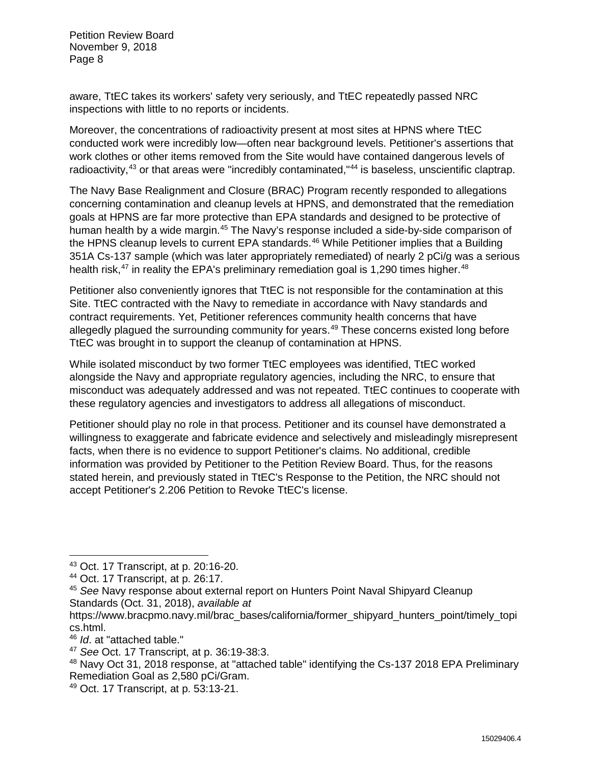aware, TtEC takes its workers' safety very seriously, and TtEC repeatedly passed NRC inspections with little to no reports or incidents.

Moreover, the concentrations of radioactivity present at most sites at HPNS where TtEC conducted work were incredibly low—often near background levels. Petitioner's assertions that work clothes or other items removed from the Site would have contained dangerous levels of radioactivity,<sup>43</sup> or that areas were "incredibly contaminated,"<sup>44</sup> is baseless, unscientific claptrap.

The Navy Base Realignment and Closure (BRAC) Program recently responded to allegations concerning contamination and cleanup levels at HPNS, and demonstrated that the remediation goals at HPNS are far more protective than EPA standards and designed to be protective of human health by a wide margin.<sup>45</sup> The Navy's response included a side-by-side comparison of the HPNS cleanup levels to current EPA standards. $46$  While Petitioner implies that a Building 351A Cs-137 sample (which was later appropriately remediated) of nearly 2 pCi/g was a serious health risk, $47$  in reality the EPA's preliminary remediation goal is 1,290 times higher.  $48$ 

Petitioner also conveniently ignores that TtEC is not responsible for the contamination at this Site. TtEC contracted with the Navy to remediate in accordance with Navy standards and contract requirements. Yet, Petitioner references community health concerns that have allegedly plagued the surrounding community for years.<sup>49</sup> These concerns existed long before TtEC was brought in to support the cleanup of contamination at HPNS.

While isolated misconduct by two former TtEC employees was identified, TtEC worked alongside the Navy and appropriate regulatory agencies, including the NRC, to ensure that misconduct was adequately addressed and was not repeated. TtEC continues to cooperate with these regulatory agencies and investigators to address all allegations of misconduct.

Petitioner should play no role in that process. Petitioner and its counsel have demonstrated a willingness to exaggerate and fabricate evidence and selectively and misleadingly misrepresent facts, when there is no evidence to support Petitioner's claims. No additional, credible information was provided by Petitioner to the Petition Review Board. Thus, for the reasons stated herein, and previously stated in TtEC's Response to the Petition, the NRC should not accept Petitioner's 2.206 Petition to Revoke TtEC's license.

 <sup>43</sup> Oct. 17 Transcript, at p. 20:16-20.

<sup>44</sup> Oct. 17 Transcript, at p. 26:17.

<sup>45</sup> *See* Navy response about external report on Hunters Point Naval Shipyard Cleanup Standards (Oct. 31, 2018), *available at* 

https://www.bracpmo.navy.mil/brac\_bases/california/former\_shipyard\_hunters\_point/timely\_topi cs.html.

<sup>46</sup> *Id*. at "attached table."

<sup>47</sup> *See* Oct. 17 Transcript, at p. 36:19-38:3.

<sup>48</sup> Navy Oct 31, 2018 response, at "attached table" identifying the Cs-137 2018 EPA Preliminary Remediation Goal as 2,580 pCi/Gram.

<sup>49</sup> Oct. 17 Transcript, at p. 53:13-21.